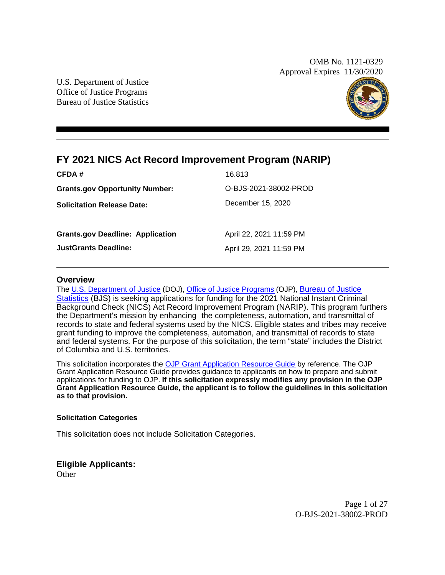OMB No. 1121-0329 Approval Expires 11/30/2020

U.S. Department of Justice Office of Justice Programs Bureau of Justice Statistics



## **FY 2021 NICS Act Record Improvement Program (NARIP)**

| CFDA #                                  | 16.813                  |
|-----------------------------------------|-------------------------|
| <b>Grants.gov Opportunity Number:</b>   | O-BJS-2021-38002-PROD   |
| <b>Solicitation Release Date:</b>       | December 15, 2020       |
|                                         |                         |
| <b>Grants.gov Deadline: Application</b> | April 22, 2021 11:59 PM |
| <b>JustGrants Deadline:</b>             | April 29, 2021 11:59 PM |
|                                         |                         |

#### **Overview**

The [U.S. Department of Justice](https://www.usdoj.gov/) (DOJ), [Office of Justice Programs](https://www.ojp.usdoj.gov/) (OJP), [Bureau of Justice](https://www.bjs.gov/) [Statistics](https://www.bjs.gov/) (BJS) is seeking applications for funding for the 2021 National Instant Criminal Background Check (NICS) Act Record Improvement Program (NARIP). This program furthers the Department's mission by enhancing the completeness, automation, and transmittal of records to state and federal systems used by the NICS. Eligible states and tribes may receive grant funding to improve the completeness, automation, and transmittal of records to state and federal systems. For the purpose of this solicitation, the term "state" includes the District of Columbia and U.S. territories.

This solicitation incorporates the [OJP Grant Application Resource Guide](https://www.ojp.gov/funding/Apply/Resources/Grant-App-Resource-Guide.htm) by reference. The OJP Grant Application Resource Guide provides guidance to applicants on how to prepare and submit applications for funding to OJP. **If this solicitation expressly modifies any provision in the OJP Grant Application Resource Guide, the applicant is to follow the guidelines in this solicitation as to that provision.** 

#### **Solicitation Categories**

This solicitation does not include Solicitation Categories.

#### **Eligible Applicants:**

**Other** 

Page 1 of 27 O-BJS-2021-38002-PROD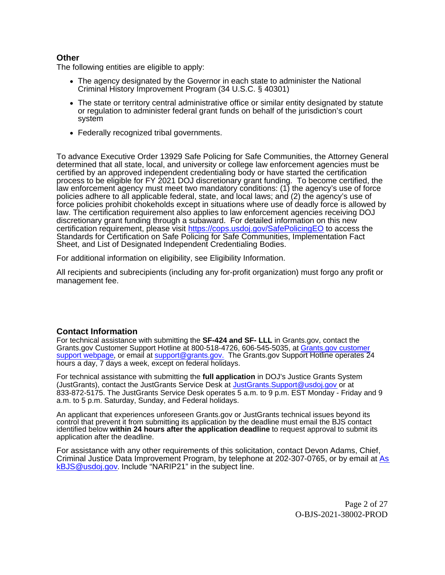#### **Other**

The following entities are eligible to apply:

- The agency designated by the Governor in each state to administer the National Criminal History Improvement Program (34 U.S.C. § 40301)
- The state or territory central administrative office or similar entity designated by statute or regulation to administer federal grant funds on behalf of the jurisdiction's court system
- Federally recognized tribal governments.

To advance Executive Order 13929 Safe Policing for Safe Communities, the Attorney General determined that all state, local, and university or college law enforcement agencies must be certified by an approved independent credentialing body or have started the certification process to be eligible for FY 2021 DOJ discretionary grant funding. To become certified, the law enforcement agency must meet two mandatory conditions: (1) the agency's use of force policies adhere to all applicable federal, state, and local laws; and (2) the agency's use of force policies prohibit chokeholds except in situations where use of deadly force is allowed by law. The certification requirement also applies to law enforcement agencies receiving DOJ discretionary grant funding through a subaward. For detailed information on this new certification requirement, please visit <https://cops.usdoj.gov/SafePolicingEO> to access the Standards for Certification on Safe Policing for Safe Communities, Implementation Fact Sheet, and List of Designated Independent Credentialing Bodies.

For additional information on eligibility, see Eligibility Information.

All recipients and subrecipients (including any for-profit organization) must forgo any profit or management fee.

#### **Contact Information**

For technical assistance with submitting the **SF-424 and SF- LLL** in Grants.gov, contact the Grants.gov Customer Support Hotline at 800-518-4726, 606-545-5035, at [Grants.gov customer](https://www.grants.gov/web/grants/support.html) [support webpage](https://www.grants.gov/web/grants/support.html), or email at [support@grants.gov.](http://support@grants.gov.) The [Grants.gov](https://Grants.gov) Support Hotline operates 24 hours a day, 7 days a week, except on federal holidays.

For technical assistance with submitting the **full application** in DOJ's Justice Grants System (JustGrants), contact the JustGrants Service Desk at [JustGrants.Support@usdoj.gov](mailto:JustGrants.Support@usdoj.gov) or at 833-872-5175. The JustGrants Service Desk operates 5 a.m. to 9 p.m. EST Monday - Friday and 9 a.m. to 5 p.m. Saturday, Sunday, and Federal holidays.

An applicant that experiences unforeseen [Grants.gov](https://Grants.gov) or JustGrants technical issues beyond its control that prevent it from submitting its application by the deadline must email the BJS contact identified below **within 24 hours after the application deadline** to request approval to submit its application after the deadline.

For assistance with any other requirements of this solicitation, contact Devon Adams, Chief, Criminal Justice Data Improvement Program, by telephone at 202-307-0765, or by email at [As](mailto:AskBJS@usdoj.gov?subject=NARIP21) [kBJS@usdoj.gov](mailto:AskBJS@usdoj.gov?subject=NARIP21). Include "NARIP21" in the subject line.

> Page 2 of 27 O-BJS-2021-38002-PROD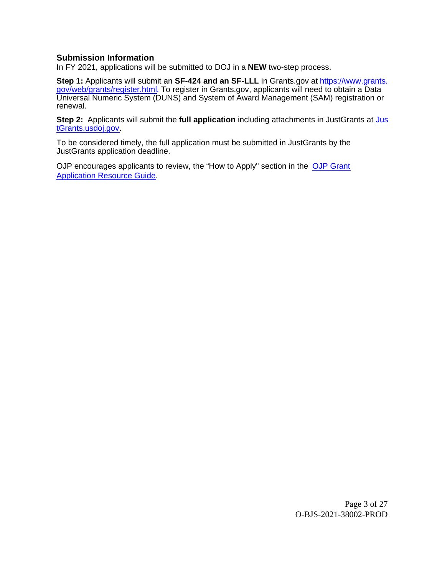#### **Submission Information**

In FY 2021, applications will be submitted to DOJ in a **NEW** two-step process.

**Step 1:** Applicants will submit an SF-424 and an SF-LLL in [Grants.gov](https://Grants.gov) at [https://www.grants.](https://www.grants.gov/web/grants/register.html) [gov/web/grants/register.html](https://www.grants.gov/web/grants/register.html). To register in [Grants.gov,](https://Grants.gov) applicants will need to obtain a Data Universal Numeric System (DUNS) and System of Award Management (SAM) registration or renewal.

**Step 2:** Applicants will submit the **full application** including attachments in JustGrants at [Jus](https://justicegrants.usdoj.gov/) [tGrants.usdoj.gov](https://justicegrants.usdoj.gov/).

To be considered timely, the full application must be submitted in JustGrants by the JustGrants application deadline.

OJP encourages applicants to review, the "How to Apply" section in the [OJP Grant](https://www.ojp.gov/funding/apply/ojp-grant-application-resource-guide#apply) [Application Resource Guide](https://www.ojp.gov/funding/apply/ojp-grant-application-resource-guide#apply).

> Page 3 of 27 O-BJS-2021-38002-PROD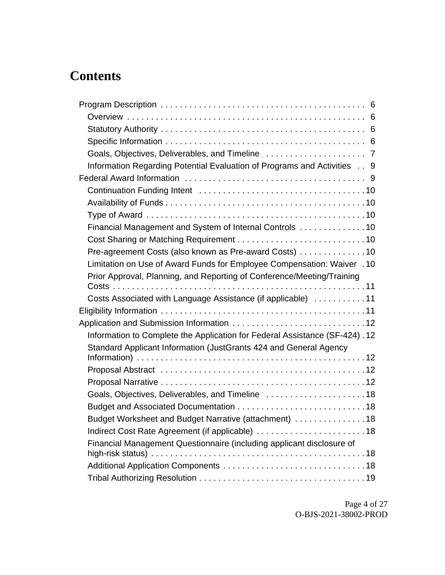# **Contents**

| Information Regarding Potential Evaluation of Programs and Activities 9     |
|-----------------------------------------------------------------------------|
|                                                                             |
|                                                                             |
|                                                                             |
|                                                                             |
| Financial Management and System of Internal Controls 10                     |
|                                                                             |
| Pre-agreement Costs (also known as Pre-award Costs) 10                      |
| Limitation on Use of Award Funds for Employee Compensation: Waiver . 10     |
| Prior Approval, Planning, and Reporting of Conference/Meeting/Training      |
|                                                                             |
| Costs Associated with Language Assistance (if applicable) 11                |
|                                                                             |
|                                                                             |
| Information to Complete the Application for Federal Assistance (SF-424). 12 |
| Standard Applicant Information (JustGrants 424 and General Agency           |
|                                                                             |
|                                                                             |
|                                                                             |
| Goals, Objectives, Deliverables, and Timeline  18                           |
|                                                                             |
| Budget Worksheet and Budget Narrative (attachment) 18                       |
| Indirect Cost Rate Agreement (if applicable) 18                             |
| Financial Management Questionnaire (including applicant disclosure of       |
|                                                                             |
|                                                                             |
|                                                                             |

Page 4 of 27 O-BJS-2021-38002-PROD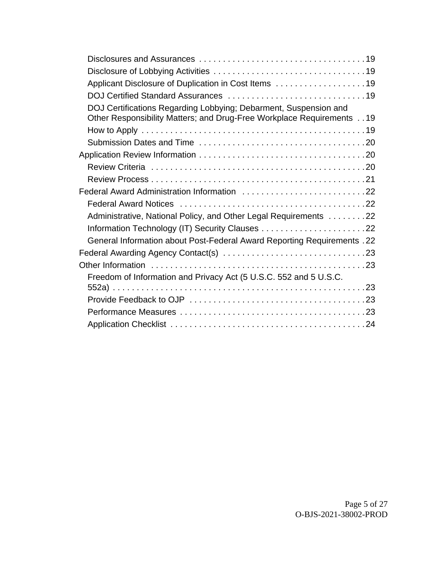| Applicant Disclosure of Duplication in Cost Items 19                                                                                      |
|-------------------------------------------------------------------------------------------------------------------------------------------|
|                                                                                                                                           |
| DOJ Certifications Regarding Lobbying; Debarment, Suspension and<br>Other Responsibility Matters; and Drug-Free Workplace Requirements 19 |
|                                                                                                                                           |
|                                                                                                                                           |
|                                                                                                                                           |
|                                                                                                                                           |
|                                                                                                                                           |
| Federal Award Administration Information 22                                                                                               |
|                                                                                                                                           |
| Administrative, National Policy, and Other Legal Requirements 22                                                                          |
|                                                                                                                                           |
| <b>General Information about Post-Federal Award Reporting Requirements . 22</b>                                                           |
|                                                                                                                                           |
|                                                                                                                                           |
| Freedom of Information and Privacy Act (5 U.S.C. 552 and 5 U.S.C.                                                                         |
|                                                                                                                                           |
|                                                                                                                                           |
|                                                                                                                                           |
|                                                                                                                                           |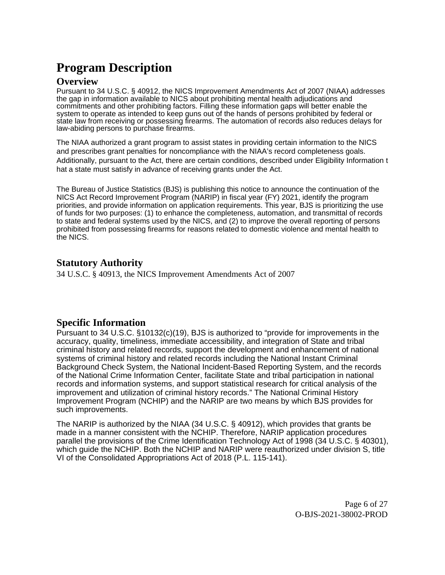# <span id="page-5-0"></span>**Program Description**

## <span id="page-5-1"></span>**Overview**

Pursuant to 34 U.S.C. § 40912, the NICS Improvement Amendments Act of 2007 (NIAA) addresses the gap in information available to NICS about prohibiting mental health adjudications and commitments and other prohibiting factors. Filling these information gaps will better enable the system to operate as intended to keep guns out of the hands of persons prohibited by federal or state law from receiving or possessing firearms. The automation of records also reduces delays for law-abiding persons to purchase firearms.

The NIAA authorized a grant program to assist states in providing certain information to the NICS and prescribes grant penalties for noncompliance with the NIAA's record completeness goals. Additionally, pursuant to the Act, there are certain conditions, described under Eligibility Information t hat a state must satisfy in advance of receiving grants under the Act.

The Bureau of Justice Statistics (BJS) is publishing this notice to announce the continuation of the NICS Act Record Improvement Program (NARIP) in fiscal year (FY) 2021, identify the program priorities, and provide information on application requirements. This year, BJS is prioritizing the use of funds for two purposes: (1) to enhance the completeness, automation, and transmittal of records to state and federal systems used by the NICS, and (2) to improve the overall reporting of persons prohibited from possessing firearms for reasons related to domestic violence and mental health to the NICS.

## <span id="page-5-2"></span>**Statutory Authority**

34 U.S.C. § 40913, the NICS Improvement Amendments Act of 2007

## <span id="page-5-3"></span>**Specific Information**

Pursuant to 34 U.S.C. §10132(c)(19), BJS is authorized to "provide for improvements in the accuracy, quality, timeliness, immediate accessibility, and integration of State and tribal criminal history and related records, support the development and enhancement of national systems of criminal history and related records including the National Instant Criminal Background Check System, the National Incident-Based Reporting System, and the records of the National Crime Information Center, facilitate State and tribal participation in national records and information systems, and support statistical research for critical analysis of the improvement and utilization of criminal history records." The National Criminal History Improvement Program (NCHIP) and the NARIP are two means by which BJS provides for such improvements.

The NARIP is authorized by the NIAA (34 U.S.C. § 40912), which provides that grants be made in a manner consistent with the NCHIP. Therefore, NARIP application procedures parallel the provisions of the Crime Identification Technology Act of 1998 (34 U.S.C. § 40301), which guide the NCHIP. Both the NCHIP and NARIP were reauthorized under division S, title VI of the Consolidated Appropriations Act of 2018 (P.L. 115-141).

> Page 6 of 27 O-BJS-2021-38002-PROD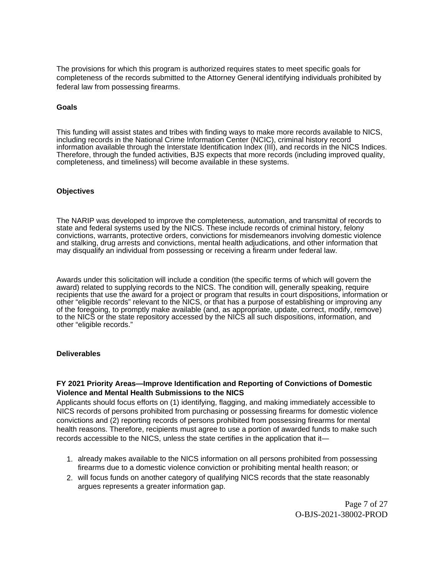<span id="page-6-0"></span>The provisions for which this program is authorized requires states to meet specific goals for completeness of the records submitted to the Attorney General identifying individuals prohibited by federal law from possessing firearms.

#### **Goals**

This funding will assist states and tribes with finding ways to make more records available to NICS, including records in the National Crime Information Center (NCIC), criminal history record information available through the Interstate Identification Index (III), and records in the NICS Indices. Therefore, through the funded activities, BJS expects that more records (including improved quality, completeness, and timeliness) will become available in these systems.

#### **Objectives**

The NARIP was developed to improve the completeness, automation, and transmittal of records to state and federal systems used by the NICS. These include records of criminal history, felony convictions, warrants, protective orders, convictions for misdemeanors involving domestic violence and stalking, drug arrests and convictions, mental health adjudications, and other information that may disqualify an individual from possessing or receiving a firearm under federal law.

Awards under this solicitation will include a condition (the specific terms of which will govern the award) related to supplying records to the NICS. The condition will, generally speaking, require recipients that use the award for a project or program that results in court dispositions, information or other "eligible records" relevant to the NICS, or that has a purpose of establishing or improving any of the foregoing, to promptly make available (and, as appropriate, update, correct, modify, remove) to the NICS or the state repository accessed by the NICS all such dispositions, information, and other "eligible records."

#### **Deliverables**

#### **FY 2021 Priority Areas—Improve Identification and Reporting of Convictions of Domestic Violence and Mental Health Submissions to the NICS**

Applicants should focus efforts on (1) identifying, flagging, and making immediately accessible to NICS records of persons prohibited from purchasing or possessing firearms for domestic violence convictions and (2) reporting records of persons prohibited from possessing firearms for mental health reasons. Therefore, recipients must agree to use a portion of awarded funds to make such records accessible to the NICS, unless the state certifies in the application that it—

- 1. already makes available to the NICS information on all persons prohibited from possessing firearms due to a domestic violence conviction or prohibiting mental health reason; or
- 2. will focus funds on another category of qualifying NICS records that the state reasonably argues represents a greater information gap.

Page 7 of 27 O-BJS-2021-38002-PROD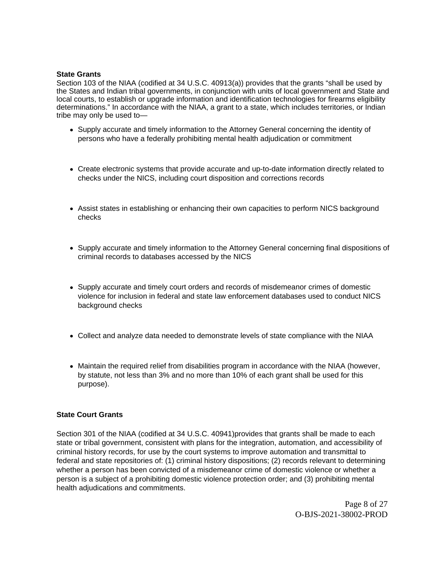#### **State Grants**

Section 103 of the NIAA (codified at 34 U.S.C. 40913(a)) provides that the grants "shall be used by the States and Indian tribal governments, in conjunction with units of local government and State and local courts, to establish or upgrade information and identification technologies for firearms eligibility determinations." In accordance with the NIAA, a grant to a state, which includes territories, or Indian tribe may only be used to—

- Supply accurate and timely information to the Attorney General concerning the identity of persons who have a federally prohibiting mental health adjudication or commitment
- Create electronic systems that provide accurate and up-to-date information directly related to checks under the NICS, including court disposition and corrections records
- Assist states in establishing or enhancing their own capacities to perform NICS background checks
- Supply accurate and timely information to the Attorney General concerning final dispositions of criminal records to databases accessed by the NICS
- Supply accurate and timely court orders and records of misdemeanor crimes of domestic violence for inclusion in federal and state law enforcement databases used to conduct NICS background checks
- Collect and analyze data needed to demonstrate levels of state compliance with the NIAA
- Maintain the required relief from disabilities program in accordance with the NIAA (however, by statute, not less than 3% and no more than 10% of each grant shall be used for this purpose).

#### **State Court Grants**

Section 301 of the NIAA (codified at 34 U.S.C. 40941)provides that grants shall be made to each state or tribal government, consistent with plans for the integration, automation, and accessibility of criminal history records, for use by the court systems to improve automation and transmittal to federal and state repositories of: (1) criminal history dispositions; (2) records relevant to determining whether a person has been convicted of a misdemeanor crime of domestic violence or whether a person is a subject of a prohibiting domestic violence protection order; and (3) prohibiting mental health adjudications and commitments.

> Page 8 of 27 O-BJS-2021-38002-PROD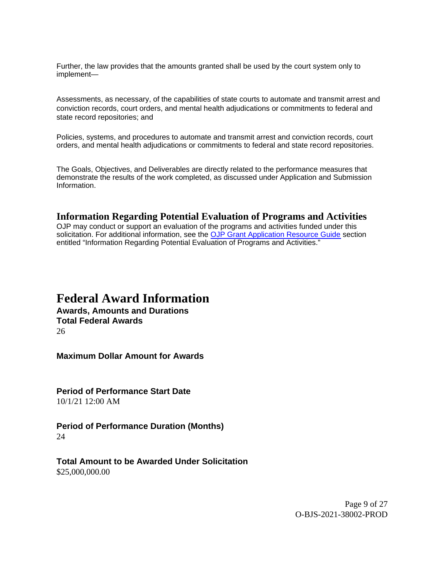Further, the law provides that the amounts granted shall be used by the court system only to implement—

Assessments, as necessary, of the capabilities of state courts to automate and transmit arrest and conviction records, court orders, and mental health adjudications or commitments to federal and state record repositories; and

Policies, systems, and procedures to automate and transmit arrest and conviction records, court orders, and mental health adjudications or commitments to federal and state record repositories.

The Goals, Objectives, and Deliverables are directly related to the performance measures that demonstrate the results of the work completed, as discussed under Application and Submission Information.

#### <span id="page-8-0"></span>**Information Regarding Potential Evaluation of Programs and Activities**

OJP may conduct or support an evaluation of the programs and activities funded under this solicitation. For additional information, see the [OJP Grant Application Resource Guide](https://www.ojp.gov/funding/apply/ojp-grant-application-resource-guide#potential-evaluation) section entitled "Information Regarding Potential Evaluation of Programs and Activities."

## <span id="page-8-1"></span>**Federal Award Information**

**Awards, Amounts and Durations Total Federal Awards**  26

**Maximum Dollar Amount for Awards** 

**Period of Performance Start Date**  10/1/21 12:00 AM

**Period of Performance Duration (Months)**  24

**Total Amount to be Awarded Under Solicitation**  \$[25,000,000.00](https://25,000,000.00)

> Page 9 of 27 O-BJS-2021-38002-PROD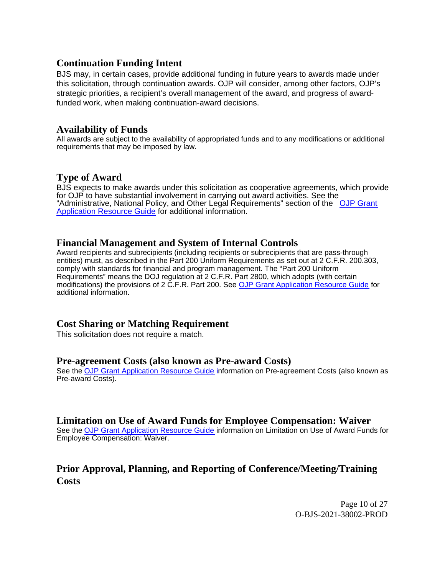## <span id="page-9-0"></span>**Continuation Funding Intent**

BJS may, in certain cases, provide additional funding in future years to awards made under this solicitation, through continuation awards. OJP will consider, among other factors, OJP's strategic priorities, a recipient's overall management of the award, and progress of awardfunded work, when making continuation-award decisions.

## <span id="page-9-1"></span>**Availability of Funds**

All awards are subject to the availability of appropriated funds and to any modifications or additional requirements that may be imposed by law.

## <span id="page-9-2"></span>**Type of Award**

BJS expects to make awards under this solicitation as cooperative agreements, which provide for OJP to have substantial involvement in carrying out award activities. See the "Administrative, National Policy, and Other Legal Requirements" section of the [OJP Grant](https://www.ojp.gov/funding/Apply/Resources/Grant-App-Resource-Guide.htm) [Application Resource Guide](https://www.ojp.gov/funding/Apply/Resources/Grant-App-Resource-Guide.htm) for additional information.

## <span id="page-9-3"></span>**Financial Management and System of Internal Controls**

Award recipients and subrecipients (including recipients or subrecipients that are pass-through entities) must, as described in the Part 200 Uniform Requirements as set out at 2 C.F.R. 200.303, comply with standards for financial and program management. The "Part 200 Uniform Requirements" means the DOJ regulation at 2 C.F.R. Part 2800, which adopts (with certain modifications) the provisions of 2 C.F.R. Part 200. See [OJP Grant Application Resource Guide](https://www.ojp.gov/funding/apply/ojp-grant-application-resource-guide#fm-internal-controls) for additional information.

## <span id="page-9-4"></span>**Cost Sharing or Matching Requirement**

This solicitation does not require a match.

## <span id="page-9-5"></span>**Pre-agreement Costs (also known as Pre-award Costs)**

See the [OJP Grant Application Resource Guide](https://www.ojp.gov/funding/apply/ojp-grant-application-resource-guide#pre-agreement-costs) information on Pre-agreement Costs (also known as Pre-award Costs).

## <span id="page-9-6"></span>**Limitation on Use of Award Funds for Employee Compensation: Waiver**

See the [OJP Grant Application Resource Guide](https://www.ojp.gov/funding/apply/ojp-grant-application-resource-guide#limitation-use-award) information on Limitation on Use of Award Funds for Employee Compensation: Waiver.

## <span id="page-9-7"></span>**Prior Approval, Planning, and Reporting of Conference/Meeting/Training Costs**

Page 10 of 27 O-BJS-2021-38002-PROD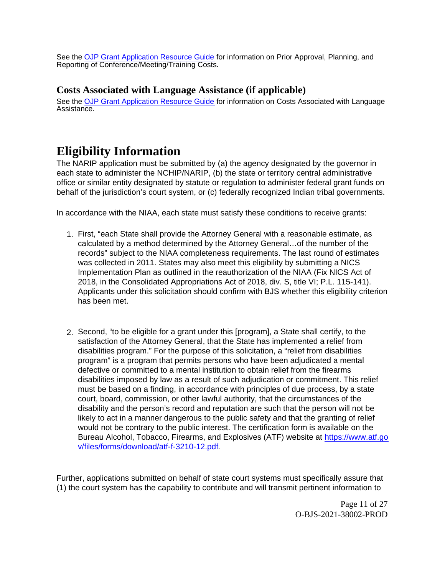See the [OJP Grant Application Resource Guide](https://www.ojp.gov/funding/apply/ojp-grant-application-resource-guide#prior-approval) for information on Prior Approval, Planning, and Reporting of Conference/Meeting/Training Costs.

## <span id="page-10-0"></span>**Costs Associated with Language Assistance (if applicable)**

See the [OJP Grant Application Resource Guide](https://www.ojp.gov/funding/apply/ojp-grant-application-resource-guide#costs-associated) for information on Costs Associated with Language Assistance.

## <span id="page-10-1"></span>**Eligibility Information**

The NARIP application must be submitted by (a) the agency designated by the governor in each state to administer the NCHIP/NARIP, (b) the state or territory central administrative office or similar entity designated by statute or regulation to administer federal grant funds on behalf of the jurisdiction's court system, or (c) federally recognized Indian tribal governments.

In accordance with the NIAA, each state must satisfy these conditions to receive grants:

- 1. First, "each State shall provide the Attorney General with a reasonable estimate, as calculated by a method determined by the Attorney General…of the number of the records" subject to the NIAA completeness requirements. The last round of estimates was collected in 2011. States may also meet this eligibility by submitting a NICS Implementation Plan as outlined in the reauthorization of the NIAA (Fix NICS Act of 2018, in the Consolidated Appropriations Act of 2018, div. S, title VI; P.L. 115-141). Applicants under this solicitation should confirm with BJS whether this eligibility criterion has been met.
- 2. Second, "to be eligible for a grant under this [program], a State shall certify, to the satisfaction of the Attorney General, that the State has implemented a relief from disabilities program." For the purpose of this solicitation, a "relief from disabilities program" is a program that permits persons who have been adjudicated a mental defective or committed to a mental institution to obtain relief from the firearms disabilities imposed by law as a result of such adjudication or commitment. This relief must be based on a finding, in accordance with principles of due process, by a state court, board, commission, or other lawful authority, that the circumstances of the disability and the person's record and reputation are such that the person will not be likely to act in a manner dangerous to the public safety and that the granting of relief would not be contrary to the public interest. The certification form is available on the Bureau Alcohol, Tobacco, Firearms, and Explosives (ATF) website at [https://www.atf.go](https://www.atf.gov/files/forms/download/atf-f-3210-12.pdf) [v/files/forms/download/atf-f-3210-12.pdf](https://www.atf.gov/files/forms/download/atf-f-3210-12.pdf).

Further, applications submitted on behalf of state court systems must specifically assure that (1) the court system has the capability to contribute and will transmit pertinent information to

> Page 11 of 27 O-BJS-2021-38002-PROD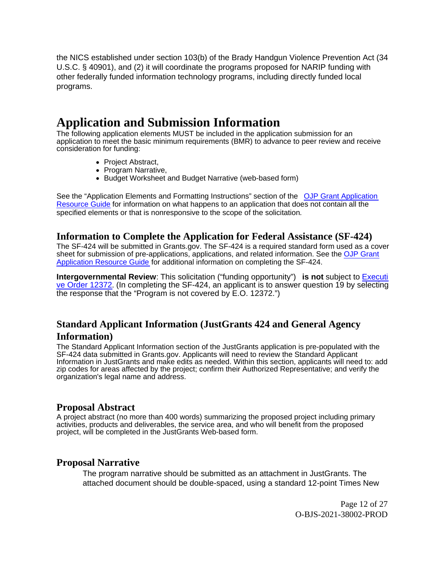the NICS established under section 103(b) of the Brady Handgun Violence Prevention Act (34 U.S.C. § 40901), and (2) it will coordinate the programs proposed for NARIP funding with other federally funded information technology programs, including directly funded local programs.

## <span id="page-11-0"></span>**Application and Submission Information**

The following application elements MUST be included in the application submission for an application to meet the basic minimum requirements (BMR) to advance to peer review and receive consideration for funding:

- Project Abstract,
- Program Narrative,
- Budget Worksheet and Budget Narrative (web-based form)

See the "Application Elements and Formatting Instructions" section of the [OJP Grant Application](https://www.ojp.gov/funding/apply/ojp-grant-application-resource-guide#application-elements) [Resource Guide](https://www.ojp.gov/funding/apply/ojp-grant-application-resource-guide#application-elements) for information on what happens to an application that does not contain all the specified elements or that is nonresponsive to the scope of the solicitation.

## <span id="page-11-1"></span>**Information to Complete the Application for Federal Assistance (SF-424)**

The SF-424 will be submitted in [Grants.gov.](https://Grants.gov) The SF-424 is a required standard form used as a cover sheet for submission of pre-applications, applications, and related information. See the [OJP Grant](https://www.ojp.gov/funding/apply/ojp-grant-application-resource-guide#complete-application) [Application Resource Guide](https://www.ojp.gov/funding/apply/ojp-grant-application-resource-guide#complete-application) for additional information on completing the SF-424.

**Intergovernmental Review**: This solicitation ("funding opportunity") **is not** subject to [Executi](https://www.archives.gov/federal-register/codification/executive-order/12372.html) [ve Order 12372](https://www.archives.gov/federal-register/codification/executive-order/12372.html). (In completing the SF-424, an applicant is to answer question 19 by selecting the response that the "Program is not covered by E.O. 12372.")

## <span id="page-11-2"></span>**Standard Applicant Information (JustGrants 424 and General Agency Information)**

The Standard Applicant Information section of the JustGrants application is pre-populated with the SF-424 data submitted in [Grants.gov.](https://Grants.gov) Applicants will need to review the Standard Applicant Information in JustGrants and make edits as needed. Within this section, applicants will need to: add zip codes for areas affected by the project; confirm their Authorized Representative; and verify the organization's legal name and address.

## <span id="page-11-3"></span>**Proposal Abstract**

A project abstract (no more than 400 words) summarizing the proposed project including primary activities, products and deliverables, the service area, and who will benefit from the proposed project, will be completed in the JustGrants Web-based form.

## <span id="page-11-4"></span>**Proposal Narrative**

The program narrative should be submitted as an attachment in JustGrants. The attached document should be double-spaced, using a standard 12-point Times New

> Page 12 of 27 O-BJS-2021-38002-PROD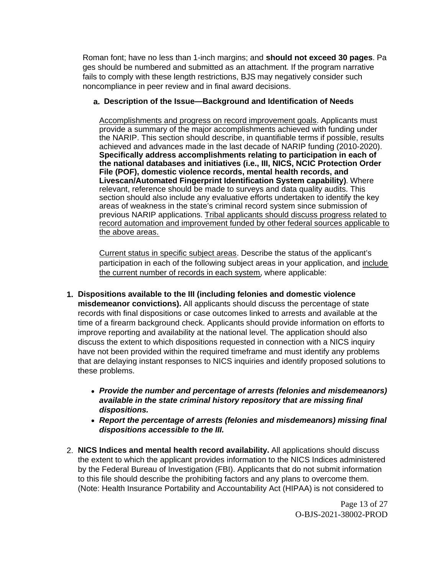Roman font; have no less than 1-inch margins; and **should not exceed 30 pages**. Pa ges should be numbered and submitted as an attachment. If the program narrative fails to comply with these length restrictions, BJS may negatively consider such noncompliance in peer review and in final award decisions.

#### **a. Description of the Issue—Background and Identification of Needs**

Accomplishments and progress on record improvement goals. Applicants must provide a summary of the major accomplishments achieved with funding under the NARIP. This section should describe, in quantifiable terms if possible, results achieved and advances made in the last decade of NARIP funding (2010-2020). **Specifically address accomplishments relating to participation in each of the national databases and initiatives (i.e., III, NICS, NCIC Protection Order File (POF), domestic violence records, mental health records, and Livescan/Automated Fingerprint Identification System capability)**. Where relevant, reference should be made to surveys and data quality audits. This section should also include any evaluative efforts undertaken to identify the key areas of weakness in the state's criminal record system since submission of previous NARIP applications. Tribal applicants should discuss progress related to record automation and improvement funded by other federal sources applicable to the above areas.

Current status in specific subject areas. Describe the status of the applicant's participation in each of the following subject areas in your application, and include the current number of records in each system, where applicable:

- **1. Dispositions available to the III (including felonies and domestic violence misdemeanor convictions).** All applicants should discuss the percentage of state records with final dispositions or case outcomes linked to arrests and available at the time of a firearm background check. Applicants should provide information on efforts to improve reporting and availability at the national level. The application should also discuss the extent to which dispositions requested in connection with a NICS inquiry have not been provided within the required timeframe and must identify any problems that are delaying instant responses to NICS inquiries and identify proposed solutions to these problems.
	- **Provide the number and percentage of arrests (felonies and misdemeanors) available in the state criminal history repository that are missing final dispositions.**
	- **Report the percentage of arrests (felonies and misdemeanors) missing final dispositions accessible to the III.**
- 2. **NICS Indices and mental health record availability.** All applications should discuss the extent to which the applicant provides information to the NICS Indices administered by the Federal Bureau of Investigation (FBI). Applicants that do not submit information to this file should describe the prohibiting factors and any plans to overcome them. (Note: Health Insurance Portability and Accountability Act (HIPAA) is not considered to

Page 13 of 27 O-BJS-2021-38002-PROD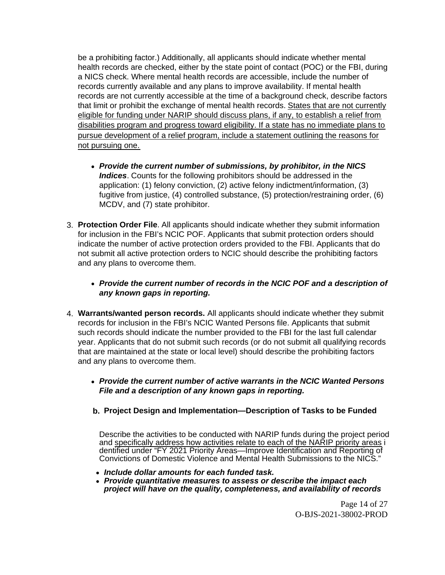be a prohibiting factor.) Additionally, all applicants should indicate whether mental health records are checked, either by the state point of contact (POC) or the FBI, during a NICS check. Where mental health records are accessible, include the number of records currently available and any plans to improve availability. If mental health records are not currently accessible at the time of a background check, describe factors that limit or prohibit the exchange of mental health records. States that are not currently eligible for funding under NARIP should discuss plans, if any, to establish a relief from disabilities program and progress toward eligibility. If a state has no immediate plans to pursue development of a relief program, include a statement outlining the reasons for not pursuing one.

- **Provide the current number of submissions, by prohibitor, in the NICS Indices**. Counts for the following prohibitors should be addressed in the application: (1) felony conviction, (2) active felony indictment/information, (3) fugitive from justice, (4) controlled substance, (5) protection/restraining order, (6) MCDV, and (7) state prohibitor.
- 3. **Protection Order File**. All applicants should indicate whether they submit information for inclusion in the FBI's NCIC POF. Applicants that submit protection orders should indicate the number of active protection orders provided to the FBI. Applicants that do not submit all active protection orders to NCIC should describe the prohibiting factors and any plans to overcome them.

#### **Provide the current number of records in the NCIC POF and a description of any known gaps in reporting.**

- 4. **Warrants/wanted person records.** All applicants should indicate whether they submit records for inclusion in the FBI's NCIC Wanted Persons file. Applicants that submit such records should indicate the number provided to the FBI for the last full calendar year. Applicants that do not submit such records (or do not submit all qualifying records that are maintained at the state or local level) should describe the prohibiting factors and any plans to overcome them.
	- **Provide the current number of active warrants in the NCIC Wanted Persons File and a description of any known gaps in reporting.**
	- **b. Project Design and Implementation—Description of Tasks to be Funded**

Describe the activities to be conducted with NARIP funds during the project period and specifically address how activities relate to each of the NARIP priority areas i dentified under "FY 2021 Priority Areas—Improve Identification and Reporting of Convictions of Domestic Violence and Mental Health Submissions to the NICS."

- **Include dollar amounts for each funded task.**
- **Provide quantitative measures to assess or describe the impact each project will have on the quality, completeness, and availability of records**

Page 14 of 27 O-BJS-2021-38002-PROD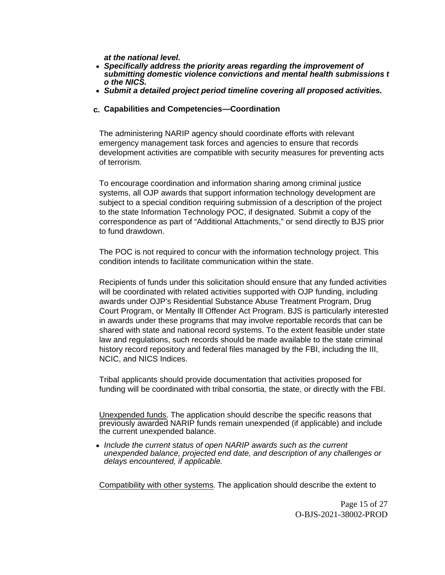**at the national level.** 

- **Specifically address the priority areas regarding the improvement of submitting domestic violence convictions and mental health submissions t o the NICS.**
- **Submit a detailed project period timeline covering all proposed activities.**

#### **c. Capabilities and Competencies—Coordination**

The administering NARIP agency should coordinate efforts with relevant emergency management task forces and agencies to ensure that records development activities are compatible with security measures for preventing acts of terrorism.

To encourage coordination and information sharing among criminal justice systems, all OJP awards that support information technology development are subject to a special condition requiring submission of a description of the project to the state Information Technology POC, if designated. Submit a copy of the correspondence as part of "Additional Attachments," or send directly to BJS prior to fund drawdown.

The POC is not required to concur with the information technology project. This condition intends to facilitate communication within the state.

Recipients of funds under this solicitation should ensure that any funded activities will be coordinated with related activities supported with OJP funding, including awards under OJP's Residential Substance Abuse Treatment Program, Drug Court Program, or Mentally Ill Offender Act Program. BJS is particularly interested in awards under these programs that may involve reportable records that can be shared with state and national record systems. To the extent feasible under state law and regulations, such records should be made available to the state criminal history record repository and federal files managed by the FBI, including the III, NCIC, and NICS Indices.

Tribal applicants should provide documentation that activities proposed for funding will be coordinated with tribal consortia, the state, or directly with the FBI.

Unexpended funds. The application should describe the specific reasons that previously awarded NARIP funds remain unexpended (if applicable) and include the current unexpended balance.

• Include the current status of open NARIP awards such as the current unexpended balance, projected end date, and description of any challenges or delays encountered, if applicable.

Compatibility with other systems. The application should describe the extent to

Page 15 of 27 O-BJS-2021-38002-PROD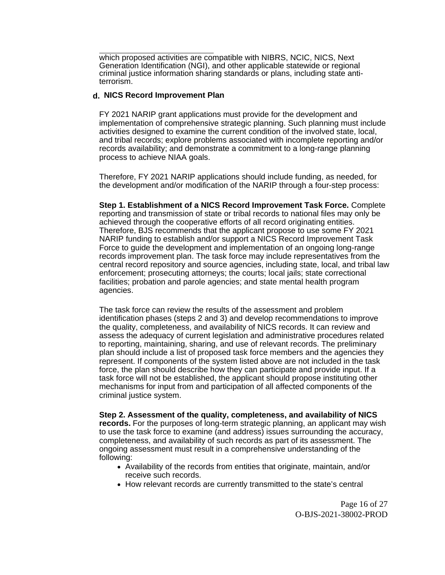which proposed activities are compatible with NIBRS, NCIC, NICS, Next Generation Identification (NGI), and other applicable statewide or regional criminal justice information sharing standards or plans, including state antiterrorism.

#### **d. NICS Record Improvement Plan**

FY 2021 NARIP grant applications must provide for the development and implementation of comprehensive strategic planning. Such planning must include activities designed to examine the current condition of the involved state, local, and tribal records; explore problems associated with incomplete reporting and/or records availability; and demonstrate a commitment to a long-range planning process to achieve NIAA goals.

Therefore, FY 2021 NARIP applications should include funding, as needed, for the development and/or modification of the NARIP through a four-step process:

**Step 1. Establishment of a NICS Record Improvement Task Force.** Complete reporting and transmission of state or tribal records to national files may only be achieved through the cooperative efforts of all record originating entities. Therefore, BJS recommends that the applicant propose to use some FY 2021 NARIP funding to establish and/or support a NICS Record Improvement Task Force to guide the development and implementation of an ongoing long-range records improvement plan. The task force may include representatives from the central record repository and source agencies, including state, local, and tribal law enforcement; prosecuting attorneys; the courts; local jails; state correctional facilities; probation and parole agencies; and state mental health program agencies.

The task force can review the results of the assessment and problem identification phases (steps 2 and 3) and develop recommendations to improve the quality, completeness, and availability of NICS records. It can review and assess the adequacy of current legislation and administrative procedures related to reporting, maintaining, sharing, and use of relevant records. The preliminary plan should include a list of proposed task force members and the agencies they represent. If components of the system listed above are not included in the task force, the plan should describe how they can participate and provide input. If a task force will not be established, the applicant should propose instituting other mechanisms for input from and participation of all affected components of the criminal justice system.

**Step 2. Assessment of the quality, completeness, and availability of NICS records.** For the purposes of long-term strategic planning, an applicant may wish to use the task force to examine (and address) issues surrounding the accuracy, completeness, and availability of such records as part of its assessment. The ongoing assessment must result in a comprehensive understanding of the following:

- Availability of the records from entities that originate, maintain, and/or receive such records.
- How relevant records are currently transmitted to the state's central

Page 16 of 27 O-BJS-2021-38002-PROD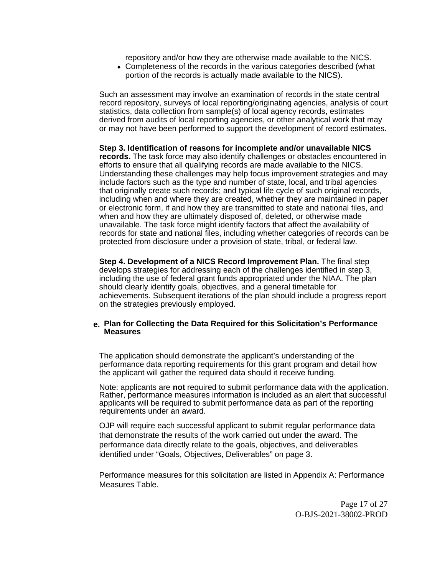repository and/or how they are otherwise made available to the NICS.

Completeness of the records in the various categories described (what portion of the records is actually made available to the NICS).

Such an assessment may involve an examination of records in the state central record repository, surveys of local reporting/originating agencies, analysis of court statistics, data collection from sample(s) of local agency records, estimates derived from audits of local reporting agencies, or other analytical work that may or may not have been performed to support the development of record estimates.

**Step 3. Identification of reasons for incomplete and/or unavailable NICS records.** The task force may also identify challenges or obstacles encountered in efforts to ensure that all qualifying records are made available to the NICS. Understanding these challenges may help focus improvement strategies and may include factors such as the type and number of state, local, and tribal agencies that originally create such records; and typical life cycle of such original records, including when and where they are created, whether they are maintained in paper or electronic form, if and how they are transmitted to state and national files, and when and how they are ultimately disposed of, deleted, or otherwise made unavailable. The task force might identify factors that affect the availability of records for state and national files, including whether categories of records can be protected from disclosure under a provision of state, tribal, or federal law.

**Step 4. Development of a NICS Record Improvement Plan.** The final step develops strategies for addressing each of the challenges identified in step 3, including the use of federal grant funds appropriated under the NIAA. The plan should clearly identify goals, objectives, and a general timetable for achievements. Subsequent iterations of the plan should include a progress report on the strategies previously employed.

#### **e. Plan for Collecting the Data Required for this Solicitation's Performance Measures**

The application should demonstrate the applicant's understanding of the performance data reporting requirements for this grant program and detail how the applicant will gather the required data should it receive funding.

Note: applicants are **not** required to submit performance data with the application. Rather, performance measures information is included as an alert that successful applicants will be required to submit performance data as part of the reporting requirements under an award.

OJP will require each successful applicant to submit regular performance data that demonstrate the results of the work carried out under the award. The performance data directly relate to the goals, objectives, and deliverables identified under "Goals, Objectives, Deliverables" on page 3.

Performance measures for this solicitation are listed in Appendix A: Performance Measures Table.

> Page 17 of 27 O-BJS-2021-38002-PROD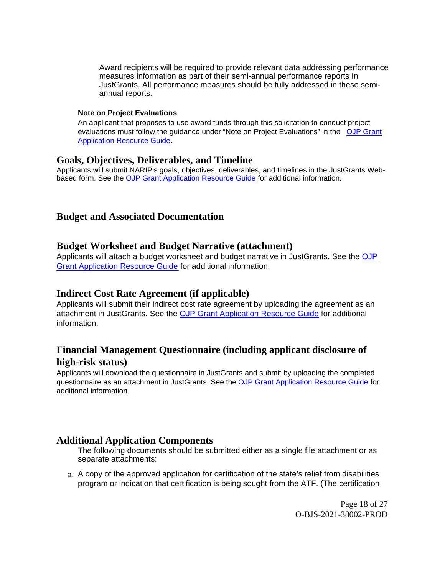Award recipients will be required to provide relevant data addressing performance measures information as part of their semi-annual performance reports In JustGrants. All performance measures should be fully addressed in these semiannual reports.

#### **Note on Project Evaluations**

An applicant that proposes to use award funds through this solicitation to conduct project evaluations must follow the guidance under "Note on Project Evaluations" in the [OJP Grant](https://www.ojp.gov/funding/apply/ojp-grant-application-resource-guide#project-evaluations) [Application Resource Guide](https://www.ojp.gov/funding/apply/ojp-grant-application-resource-guide#project-evaluations).

#### <span id="page-17-0"></span>**Goals, Objectives, Deliverables, and Timeline**

Applicants will submit NARIP's goals, objectives, deliverables, and timelines in the JustGrants Webbased form. See the [OJP Grant Application Resource Guide](https://www.ojp.gov/funding/apply/ojp-grant-application-resource-guide) for additional information.

## <span id="page-17-1"></span>**Budget and Associated Documentation**

#### <span id="page-17-2"></span>**Budget Worksheet and Budget Narrative (attachment)**

Applicants will attach a budget worksheet and budget narrative in JustGrants. See the [OJP](https://ojp.gov/funding/Apply/Resources/Grant-App-Resource-Guide.htm) [Grant Application Resource Guide](https://ojp.gov/funding/Apply/Resources/Grant-App-Resource-Guide.htm) for additional information.

## <span id="page-17-3"></span>**Indirect Cost Rate Agreement (if applicable)**

Applicants will submit their indirect cost rate agreement by uploading the agreement as an attachment in JustGrants. See the [OJP Grant Application Resource Guide](https://ojp.gov/funding/Apply/Resources/Grant-App-Resource-Guide.htm) for additional information.

## <span id="page-17-4"></span>**Financial Management Questionnaire (including applicant disclosure of high-risk status)**

Applicants will download the questionnaire in JustGrants and submit by uploading the completed questionnaire as an attachment in JustGrants. See the [OJP Grant Application Resource Guide](https://www.ojp.gov/funding/apply/ojp-grant-application-resource-guide#fm-internal-controls-questionnaire) for additional information.

## <span id="page-17-5"></span>**Additional Application Components**

The following documents should be submitted either as a single file attachment or as separate attachments:

a. A copy of the approved application for certification of the state's relief from disabilities program or indication that certification is being sought from the ATF. (The certification

> Page 18 of 27 O-BJS-2021-38002-PROD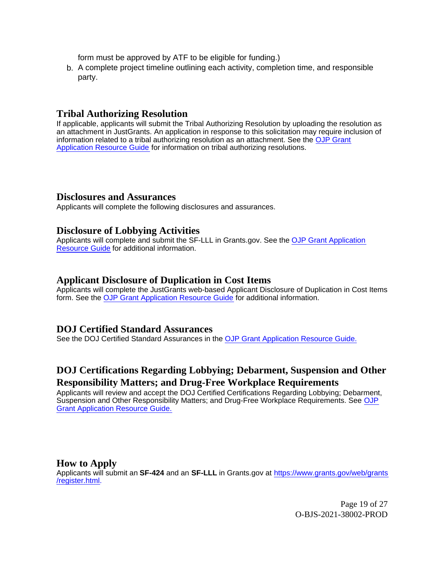form must be approved by ATF to be eligible for funding.)

b. A complete project timeline outlining each activity, completion time, and responsible party.

#### <span id="page-18-0"></span>**Tribal Authorizing Resolution**

If applicable, applicants will submit the Tribal Authorizing Resolution by uploading the resolution as an attachment in JustGrants. An application in response to this solicitation may require inclusion of information related to a tribal authorizing resolution as an attachment. See the [OJP Grant](https://www.ojp.gov/funding/apply/ojp-grant-application-resource-guide#tribal-authorizing-resolution) [Application Resource Guide](https://www.ojp.gov/funding/apply/ojp-grant-application-resource-guide#tribal-authorizing-resolution) for information on tribal authorizing resolutions.

#### <span id="page-18-1"></span>**Disclosures and Assurances**

Applicants will complete the following disclosures and assurances.

#### <span id="page-18-2"></span>**Disclosure of Lobbying Activities**

Applicants will complete and submit the SF-LLL in [Grants.gov](https://Grants.gov). See the [OJP Grant Application](https://www.ojp.gov/funding/apply/ojp-grant-application-resource-guide#apply) [Resource Guide](https://www.ojp.gov/funding/apply/ojp-grant-application-resource-guide#apply) for additional information.

#### <span id="page-18-3"></span>**Applicant Disclosure of Duplication in Cost Items**

Applicants will complete the JustGrants web-based Applicant Disclosure of Duplication in Cost Items form. See the [OJP Grant Application Resource Guide](https://www.ojp.gov/funding/apply/ojp-grant-application-resource-guide#applicant-disclosure-pending-applications) for additional information.

#### <span id="page-18-4"></span>**DOJ Certified Standard Assurances**

See the DOJ Certified Standard Assurances in the [OJP Grant Application Resource Guide.](https://www.ojp.gov/funding/apply/ojp-grant-application-resource-guide#administrative)

## <span id="page-18-5"></span>**DOJ Certifications Regarding Lobbying; Debarment, Suspension and Other Responsibility Matters; and Drug-Free Workplace Requirements**

Applicants will review and accept the DOJ Certified Certifications Regarding Lobbying; Debarment, Suspension and Other Responsibility Matters; and Drug-Free Workplace Requirements. See [OJP](https://www.ojp.gov/funding/apply/ojp-grant-application-resource-guide#administrative) [Grant Application Resource Guide.](https://www.ojp.gov/funding/apply/ojp-grant-application-resource-guide#administrative)

#### <span id="page-18-6"></span>**How to Apply**

Applicants will submit an **SF-424** and an **SF-LLL** in [Grants.gov](https://Grants.gov) at [https://www.grants.gov/web/grants](https://www.grants.gov/web/grants/register.html) [/register.html](https://www.grants.gov/web/grants/register.html).

> Page 19 of 27 O-BJS-2021-38002-PROD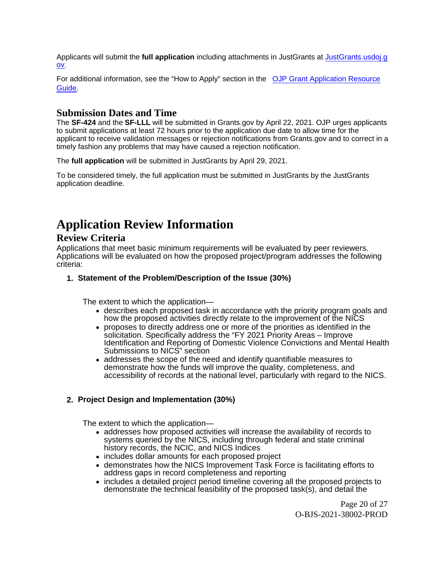Applicants will submit the **full application** including attachments in JustGrants at [JustGrants.usdoj.g](https://justicegrants.usdoj.gov/) [ov](https://justicegrants.usdoj.gov/).

For additional information, see the "How to Apply" section in the [OJP Grant Application Resource](https://www.ojp.gov/funding/apply/ojp-grant-application-resource-guide#apply) [Guide](https://www.ojp.gov/funding/apply/ojp-grant-application-resource-guide#apply).

## <span id="page-19-0"></span>**Submission Dates and Time**

The **SF-424** and the **SF-LLL** will be submitted in [Grants.gov](https://Grants.gov) by April 22, 2021. OJP urges applicants to submit applications at least 72 hours prior to the application due date to allow time for the applicant to receive validation messages or rejection notifications from [Grants.gov](https://Grants.gov) and to correct in a timely fashion any problems that may have caused a rejection notification.

The **full application** will be submitted in JustGrants by April 29, 2021.

To be considered timely, the full application must be submitted in JustGrants by the JustGrants application deadline.

## <span id="page-19-1"></span>**Application Review Information**

#### <span id="page-19-2"></span>**Review Criteria**

Applications that meet basic minimum requirements will be evaluated by peer reviewers. Applications will be evaluated on how the proposed project/program addresses the following criteria:

#### **1. Statement of the Problem/Description of the Issue (30%)**

The extent to which the application—

- describes each proposed task in accordance with the priority program goals and how the proposed activities directly relate to the improvement of the NICS
- proposes to directly address one or more of the priorities as identified in the solicitation. Specifically address the "FY 2021 Priority Areas – Improve Identification and Reporting of Domestic Violence Convictions and Mental Health Submissions to NICS" section
- addresses the scope of the need and identify quantifiable measures to demonstrate how the funds will improve the quality, completeness, and accessibility of records at the national level, particularly with regard to the NICS.

#### **2. Project Design and Implementation (30%)**

The extent to which the application—

- addresses how proposed activities will increase the availability of records to systems queried by the NICS, including through federal and state criminal history records, the NCIC, and NICS Indices
- includes dollar amounts for each proposed project
- demonstrates how the NICS Improvement Task Force is facilitating efforts to address gaps in record completeness and reporting
- includes a detailed project period timeline covering all the proposed projects to demonstrate the technical feasibility of the proposed task(s), and detail the

Page 20 of 27 O-BJS-2021-38002-PROD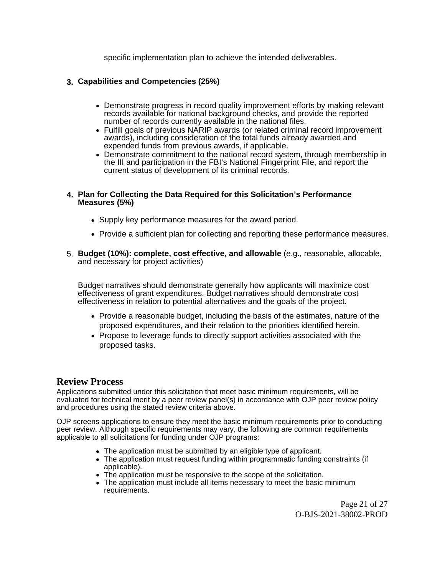specific implementation plan to achieve the intended deliverables.

### **3. Capabilities and Competencies (25%)**

- Demonstrate progress in record quality improvement efforts by making relevant records available for national background checks, and provide the reported number of records currently available in the national files.
- Fulfill goals of previous NARIP awards (or related criminal record improvement awards), including consideration of the total funds already awarded and expended funds from previous awards, if applicable.
- Demonstrate commitment to the national record system, through membership in the III and participation in the FBI's National Fingerprint File, and report the current status of development of its criminal records.

#### **4. Plan for Collecting the Data Required for this Solicitation's Performance Measures (5%)**

- Supply key performance measures for the award period.
- Provide a sufficient plan for collecting and reporting these performance measures.
- 5. **Budget (10%): complete, cost effective, and allowable** (e.g., reasonable, allocable, and necessary for project activities)

Budget narratives should demonstrate generally how applicants will maximize cost effectiveness of grant expenditures. Budget narratives should demonstrate cost effectiveness in relation to potential alternatives and the goals of the project.

- Provide a reasonable budget, including the basis of the estimates, nature of the proposed expenditures, and their relation to the priorities identified herein.
- Propose to leverage funds to directly support activities associated with the proposed tasks.

#### <span id="page-20-0"></span>**Review Process**

Applications submitted under this solicitation that meet basic minimum requirements, will be evaluated for technical merit by a peer review panel(s) in accordance with OJP peer review policy and procedures using the stated review criteria above.

OJP screens applications to ensure they meet the basic minimum requirements prior to conducting peer review. Although specific requirements may vary, the following are common requirements applicable to all solicitations for funding under OJP programs:

- The application must be submitted by an eligible type of applicant.
- The application must request funding within programmatic funding constraints (if applicable).
- The application must be responsive to the scope of the solicitation.
- The application must include all items necessary to meet the basic minimum requirements.

Page 21 of 27 O-BJS-2021-38002-PROD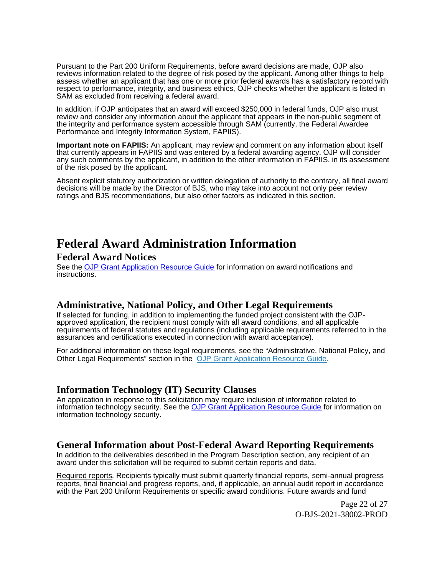Pursuant to the Part 200 Uniform Requirements, before award decisions are made, OJP also reviews information related to the degree of risk posed by the applicant. Among other things to help assess whether an applicant that has one or more prior federal awards has a satisfactory record with respect to performance, integrity, and business ethics, OJP checks whether the applicant is listed in SAM as excluded from receiving a federal award.

In addition, if OJP anticipates that an award will exceed \$250,000 in federal funds, OJP also must review and consider any information about the applicant that appears in the non-public segment of the integrity and performance system accessible through SAM (currently, the Federal Awardee Performance and Integrity Information System, FAPIIS).

**Important note on FAPIIS:** An applicant, may review and comment on any information about itself that currently appears in FAPIIS and was entered by a federal awarding agency. OJP will consider any such comments by the applicant, in addition to the other information in FAPIIS, in its assessment of the risk posed by the applicant.

Absent explicit statutory authorization or written delegation of authority to the contrary, all final award decisions will be made by the Director of BJS, who may take into account not only peer review ratings and BJS recommendations, but also other factors as indicated in this section.

## <span id="page-21-0"></span>**Federal Award Administration Information**

## <span id="page-21-1"></span>**Federal Award Notices**

See the [OJP Grant Application Resource Guide](https://www.ojp.gov/funding/apply/ojp-grant-application-resource-guide#federal-award-notices) for information on award notifications and instructions.

## <span id="page-21-2"></span>**Administrative, National Policy, and Other Legal Requirements**

If selected for funding, in addition to implementing the funded project consistent with the OJPapproved application, the recipient must comply with all award conditions, and all applicable requirements of federal statutes and regulations (including applicable requirements referred to in the assurances and certifications executed in connection with award acceptance).

For additional information on these legal requirements, see the "Administrative, National Policy, and Other Legal Requirements" section in the [OJP Grant Application Resource Guide](https://www.ojp.gov/funding/apply/ojp-grant-application-resource-guide#administrative).

## <span id="page-21-3"></span>**Information Technology (IT) Security Clauses**

An application in response to this solicitation may require inclusion of information related to information technology security. See the [OJP Grant Application Resource Guide](https://www.ojp.gov/funding/apply/ojp-grant-application-resource-guide#information-technology) for information on information technology security.

## <span id="page-21-4"></span>**General Information about Post-Federal Award Reporting Requirements**

In addition to the deliverables described in the Program Description section, any recipient of an award under this solicitation will be required to submit certain reports and data.

Required reports. Recipients typically must submit quarterly financial reports, semi-annual progress reports, final financial and progress reports, and, if applicable, an annual audit report in accordance with the Part 200 Uniform Requirements or specific award conditions. Future awards and fund

> Page 22 of 27 O-BJS-2021-38002-PROD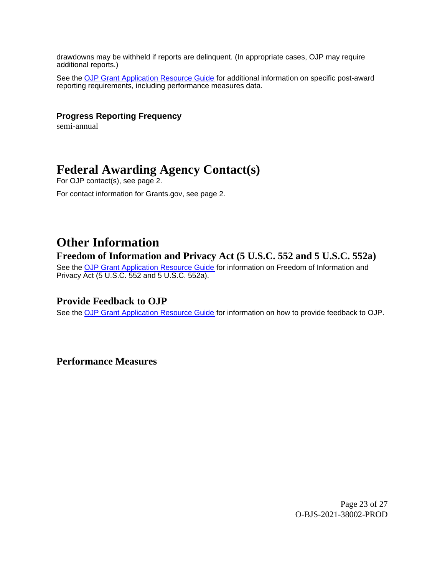drawdowns may be withheld if reports are delinquent. (In appropriate cases, OJP may require additional reports.)

See the [OJP Grant Application Resource Guide](https://www.ojp.gov/funding/apply/ojp-grant-application-resource-guide#general-information) for additional information on specific post-award reporting requirements, including performance measures data.

#### **Progress Reporting Frequency**

semi-annual

## <span id="page-22-0"></span>**Federal Awarding Agency Contact(s)**

For OJP contact(s), see page 2.

For contact information for [Grants.gov,](https://Grants.gov) see page 2.

## <span id="page-22-1"></span>**Other Information**

## <span id="page-22-2"></span>**Freedom of Information and Privacy Act (5 U.S.C. 552 and 5 U.S.C. 552a)**

See the [OJP Grant Application Resource Guide](https://www.ojp.gov/funding/apply/ojp-grant-application-resource-guide#foia) for information on Freedom of Information and Privacy Act (5 U.S.C. 552 and 5 U.S.C. 552a).

#### <span id="page-22-3"></span>**Provide Feedback to OJP**

See the [OJP Grant Application Resource Guide](https://www.ojp.gov/funding/apply/ojp-grant-application-resource-guide#feedback) for information on how to provide feedback to OJP.

<span id="page-22-4"></span>**Performance Measures** 

Page 23 of 27 O-BJS-2021-38002-PROD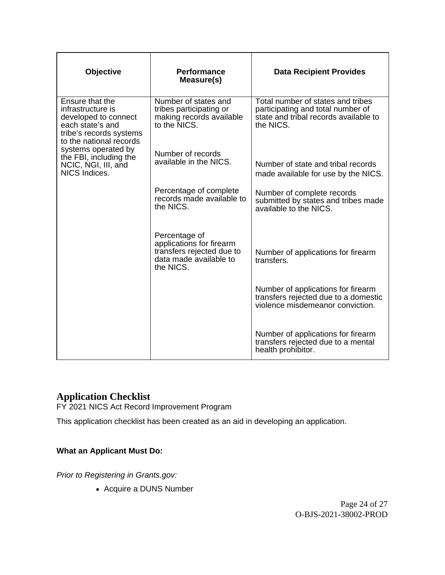| Objective                                                                                                                              | <b>Performance</b><br>Measure(s)                                                                              | <b>Data Recipient Provides</b>                                                                                               |
|----------------------------------------------------------------------------------------------------------------------------------------|---------------------------------------------------------------------------------------------------------------|------------------------------------------------------------------------------------------------------------------------------|
| Ensure that the<br>infrastructure is<br>developed to connect<br>each state's and<br>tribe's records systems<br>to the national records | Number of states and<br>tribes participating or<br>making records available<br>to the NICS.                   | Total number of states and tribes<br>participating and total number of<br>state and tribal records available to<br>the NICS. |
| systems operated by<br>the FBI, including the<br>NCIC, NGI, III, and<br>NICS Indices.                                                  | Number of records<br>available in the NICS.                                                                   | Number of state and tribal records<br>made available for use by the NICS.                                                    |
|                                                                                                                                        | Percentage of complete<br>records made available to<br>the NICS.                                              | Number of complete records<br>submitted by states and tribes made<br>available to the NICS.                                  |
|                                                                                                                                        | Percentage of<br>applications for firearm<br>transfers rejected due to<br>data made available to<br>the NICS. | Number of applications for firearm<br>transfers.                                                                             |
|                                                                                                                                        |                                                                                                               | Number of applications for firearm<br>transfers rejected due to a domestic<br>violence misdemeanor conviction.               |
|                                                                                                                                        |                                                                                                               | Number of applications for firearm<br>transfers rejected due to a mental<br>health prohibitor.                               |

## <span id="page-23-0"></span>**Application Checklist**

FY 2021 NICS Act Record Improvement Program

This application checklist has been created as an aid in developing an application.

## **What an Applicant Must Do:**

Prior to Registering in [Grants.gov](https://Grants.gov):

Acquire a DUNS Number

Page 24 of 27 O-BJS-2021-38002-PROD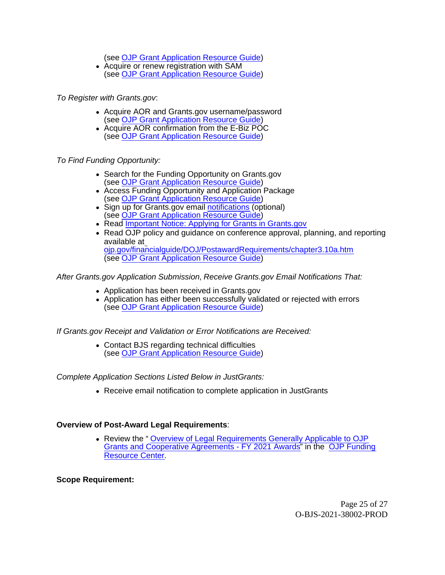(see [OJP Grant Application Resource Guide](https://www.ojp.gov/funding/Apply/Resources/Grant-App-Resource-Guide.htm#howToApply))

Acquire or renew registration with SAM (see [OJP Grant Application Resource Guide](https://www.ojp.gov/funding/Apply/Resources/Grant-App-Resource-Guide.htm#howToApply))

To Register with [Grants.gov](https://Grants.gov):

- Acquire AOR and Grants.gov username/password (see [OJP Grant Application Resource Guide](https://www.ojp.gov/funding/Apply/Resources/Grant-App-Resource-Guide.htm#howToApply))
- Acquire AOR confirmation from the E-Biz POC (see [OJP Grant Application Resource Guide](https://www.ojp.gov/funding/Apply/Resources/Grant-App-Resource-Guide.htm#howToApply))

To Find Funding Opportunity:

- Search for the Funding Opportunity on Grants.gov (see [OJP Grant Application Resource Guide](https://www.ojp.gov/funding/Apply/Resources/Grant-App-Resource-Guide.htm#howToApply))
- Access Funding Opportunity and Application Package (see [OJP Grant Application Resource Guide](https://www.ojp.gov/funding/Apply/Resources/Grant-App-Resource-Guide.htm#howToApply))
- Sign up for Grants.gov email [notifications](https://www.grants.gov/web/grants/manage-subscriptions.html) (optional) (see [OJP Grant Application Resource Guide](https://www.ojp.gov/funding/Apply/Resources/Grant-App-Resource-Guide.htm#howToApply))
- Read [Important Notice: Applying for Grants in Grants.gov](https://ojp.gov/funding/Apply/Grants-govInfo.htm)
- Read OJP policy and quidance on conference approval, planning, and reporting available at [ojp.gov/financialguide/DOJ/PostawardRequirements/chapter3.10a.htm](https://ojp.gov/financialguide/DOJ/PostawardRequirements/chapter3.10a.htm) (see [OJP Grant Application Resource Guide](https://www.ojp.gov/funding/Apply/Resources/Grant-App-Resource-Guide.htm#reportingCosts))

After [Grants.gov](https://Grants.gov) Application Submission, Receive [Grants.gov](https://Grants.gov) Email Notifications That:

- Application has been received in [Grants.gov](https://Grants.gov)
- Application has either been successfully validated or rejected with errors (see [OJP Grant Application Resource Guide](https://www.ojp.gov/funding/Apply/Resources/Grant-App-Resource-Guide.htm#submissionSteps))

If [Grants.gov](https://Grants.gov) Receipt and Validation or Error Notifications are Received:

Contact BJS regarding technical difficulties (see [OJP Grant Application Resource Guide](https://www.ojp.gov/funding/Apply/Resources/Grant-App-Resource-Guide.htm#submissionSteps))

Complete Application Sections Listed Below in JustGrants:

Receive email notification to complete application in JustGrants

#### **Overview of Post-Award Legal Requirements**:

Review the " [Overview of Legal Requirements Generally Applicable to OJP](https://www.ojp.gov/funding/explore/legal-overview-fy-2021-awards) [Grants and Cooperative Agreements - FY 2021 Awards](https://www.ojp.gov/funding/explore/legal-overview-fy-2021-awards)" in the [OJP Funding](https://www.ojp.gov/funding/index.htm) [Resource Center](https://www.ojp.gov/funding/index.htm).

**Scope Requirement:** 

Page 25 of 27 O-BJS-2021-38002-PROD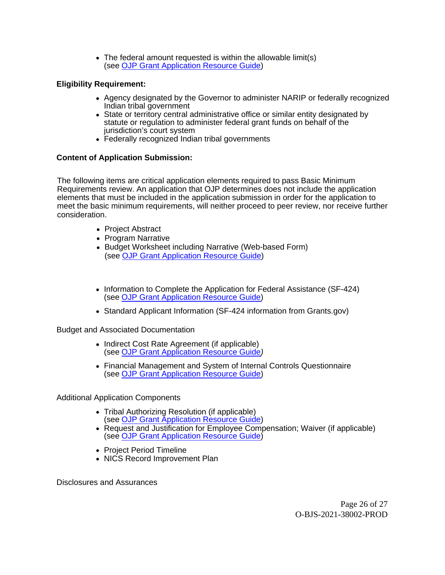The federal amount requested is within the allowable limit(s) (see [OJP Grant Application Resource Guide](https://www.ojp.gov/funding/apply/ojp-grant-application-resource-guide#pre-agreement))

#### **Eligibility Requirement:**

- Agency designated by the Governor to administer NARIP or federally recognized Indian tribal government
- State or territory central administrative office or similar entity designated by statute or regulation to administer federal grant funds on behalf of the jurisdiction's court system
- Federally recognized Indian tribal governments

#### **Content of Application Submission:**

The following items are critical application elements required to pass Basic Minimum Requirements review. An application that OJP determines does not include the application elements that must be included in the application submission in order for the application to meet the basic minimum requirements, will neither proceed to peer review, nor receive further consideration.

- Project Abstract
- Program Narrative
- Budget Worksheet including Narrative (Web-based Form) (see [OJP Grant Application Resource Guide](https://www.ojp.gov/funding/Apply/Resources/Grant-App-Resource-Guide.htm#budgetInfo))
- Information to Complete the Application for Federal Assistance (SF-424) (see [OJP Grant Application Resource Guide](https://www.ojp.gov/microsite-subpage/ojp-grant-application-resource-guide#completeApplication))
- Standard Applicant Information (SF-424 information from [Grants.gov](https://Grants.gov))

Budget and Associated Documentation

- Indirect Cost Rate Agreement (if applicable) (see [OJP Grant Application Resource Guide](https://www.ojp.gov/funding/Apply/Resources/Grant-App-Resource-Guide.htm#indirectCosts))
- Financial Management and System of Internal Controls Questionnaire (see [OJP Grant Application Resource Guide](https://www.ojp.gov/funding/Apply/Resources/Grant-App-Resource-Guide.htm#internalControlsQuestionnaire))

Additional Application Components

- Tribal Authorizing Resolution (if applicable) (see [OJP Grant Application Resource Guide](https://www.ojp.gov/funding/Apply/Resources/Grant-App-Resource-Guide.htm#tribalAuthorizing))
- Request and Justification for Employee Compensation; Waiver (if applicable) (see [OJP Grant Application Resource Guide](https://www.ojp.gov/funding/Apply/Resources/Grant-App-Resource-Guide.htm#UseOfAwardFunds))
- Project Period Timeline
- NICS Record Improvement Plan

Disclosures and Assurances

Page 26 of 27 O-BJS-2021-38002-PROD